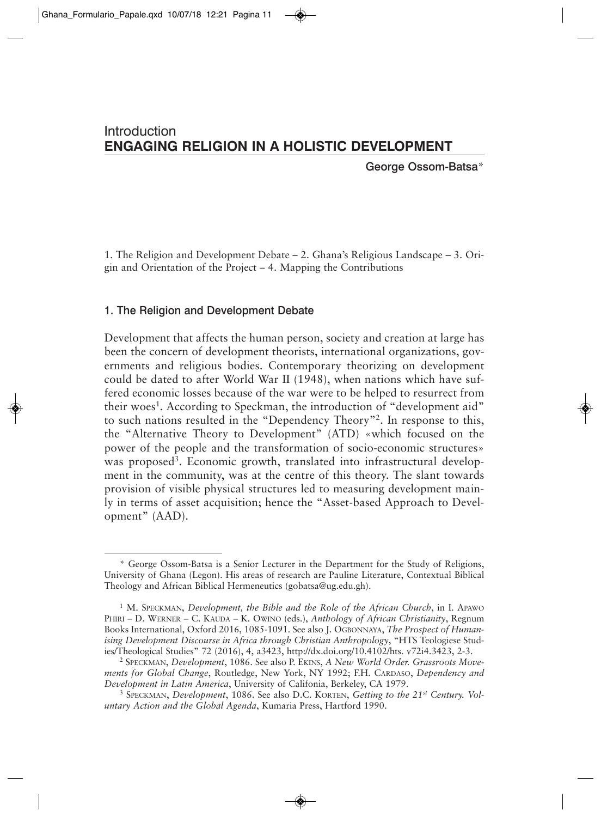# Introduction **ENGAGING RELIGION IN A HOLISTIC DEVELOPMENT**

George Ossom-Batsa\*

1. The Religion and Development Debate – 2. Ghana's Religious Landscape – 3. Origin and Orientation of the Project – 4. Mapping the Contributions

## 1. The Religion and Development Debate

Development that affects the human person, society and creation at large has been the concern of development theorists, international organizations, governments and religious bodies. Contemporary theorizing on development could be dated to after World War II (1948), when nations which have suffered economic losses because of the war were to be helped to resurrect from their woes<sup>1</sup>. According to Speckman, the introduction of "development aid" to such nations resulted in the "Dependency Theory"2. In response to this, the "Alternative Theory to Development" (ATD) «which focused on the power of the people and the transformation of socio-economic structures» was proposed<sup>3</sup>. Economic growth, translated into infrastructural development in the community, was at the centre of this theory. The slant towards provision of visible physical structures led to measuring development mainly in terms of asset acquisition; hence the "Asset-based Approach to Development" (AAD).

<sup>\*</sup> George Ossom-Batsa is a Senior Lecturer in the Department for the Study of Religions, University of Ghana (Legon). His areas of research are Pauline Literature, Contextual Biblical Theology and African Biblical Hermeneutics (gobatsa@ug.edu.gh).

<sup>&</sup>lt;sup>1</sup> M. SPECKMAN, *Development, the Bible and the Role of the African Church*, in I. APAWO PHIRI – D. WERNER – C. KAUDA – K. OWINO (eds.), *Anthology of African Christianity*, Regnum Books International, Oxford 2016, 1085-1091. See also J. OGBONNAYA, *The Prospect of Humanising Development Discourse in Africa through Christian Anthropology*, "HTS Teologiese Studies/Theological Studies" 72 (2016), 4, a3423, http://dx.doi.org/10.4102/hts. v72i4.3423, 2-3.

<sup>2</sup> SPECKMAN, *Development*, 1086. See also P. EKINS, *A New World Order. Grassroots Movements for Global Change*, Routledge, New York, NY 1992; F.H. CARDASO, *Dependency and Development in Latin America*, University of Califonia, Berkeley, CA 1979.

<sup>3</sup> SPECKMAN, *Development*, 1086. See also D.C. KORTEN, *Getting to the 21st Century. Voluntary Action and the Global Agenda*, Kumaria Press, Hartford 1990.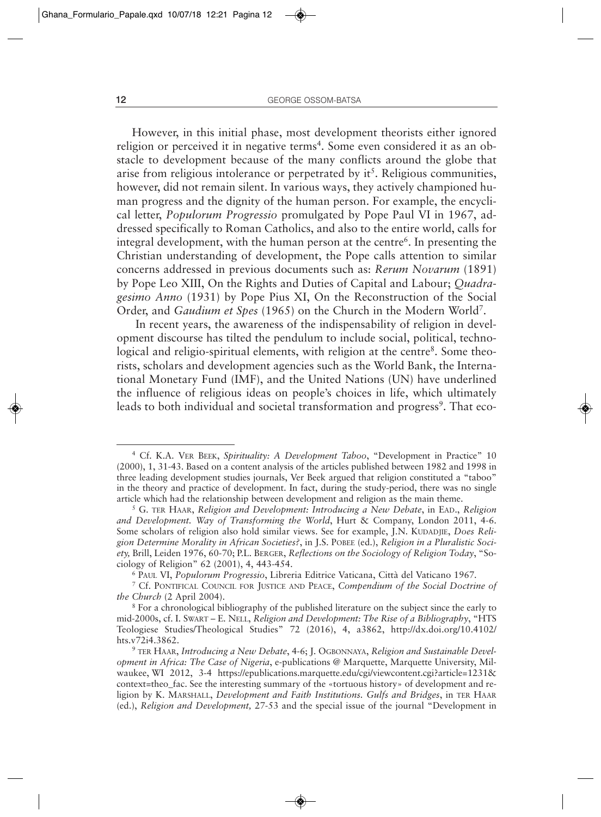However, in this initial phase, most development theorists either ignored religion or perceived it in negative terms<sup>4</sup>. Some even considered it as an obstacle to development because of the many conflicts around the globe that arise from religious intolerance or perpetrated by  $it^5$ . Religious communities, however, did not remain silent. In various ways, they actively championed human progress and the dignity of the human person. For example, the encyclical letter, *Populorum Progressio* promulgated by Pope Paul VI in 1967, addressed specifically to Roman Catholics, and also to the entire world, calls for integral development, with the human person at the centre<sup>6</sup>. In presenting the Christian understanding of development, the Pope calls attention to similar concerns addressed in previous documents such as: *Rerum Novarum* (1891) by Pope Leo XIII, On the Rights and Duties of Capital and Labour; *Quadragesimo Anno* (1931) by Pope Pius XI, On the Reconstruction of the Social Order, and *Gaudium et Spes* (1965) on the Church in the Modern World7.

In recent years, the awareness of the indispensability of religion in development discourse has tilted the pendulum to include social, political, technological and religio-spiritual elements, with religion at the centre<sup>8</sup>. Some theorists, scholars and development agencies such as the World Bank, the International Monetary Fund (IMF), and the United Nations (UN) have underlined the influence of religious ideas on people's choices in life, which ultimately leads to both individual and societal transformation and progress<sup>9</sup>. That eco-

<sup>4</sup> Cf. K.A. VER BEEK, *Spirituality: A Development Taboo*, "Development in Practice" 10 (2000), 1, 31-43. Based on a content analysis of the articles published between 1982 and 1998 in three leading development studies journals, Ver Beek argued that religion constituted a "taboo" in the theory and practice of development. In fact, during the study-period, there was no single article which had the relationship between development and religion as the main theme.

<sup>&</sup>lt;sup>5</sup> G. TER HAAR, *Religion and Development: Introducing a New Debate*, in EAD., *Religion and Development. Way of Transforming the World*, Hurt & Company, London 2011, 4-6. Some scholars of religion also hold similar views. See for example, J.N. KUDADJIE, *Does Religion Determine Morality in African Societies?*, in J.S. POBEE (ed.), *Religion in a Pluralistic Society,* Brill, Leiden 1976, 60-70; P.L. BERGER, *Reflections on the Sociology of Religion Today*, "Sociology of Religion" 62 (2001), 4, 443-454.

<sup>6</sup> PAUL VI, *Populorum Progressio*, Libreria Editrice Vaticana, Città del Vaticano 1967*.*

<sup>7</sup> Cf. PONTIFICAL COUNCIL FOR JUSTICE AND PEACE, *Compendium of the Social Doctrine of the Church* (2 April 2004).

<sup>&</sup>lt;sup>8</sup> For a chronological bibliography of the published literature on the subject since the early to mid-2000s, cf. I. SWART – E. NELL, *Religion and Development: The Rise of a Bibliography*, "HTS Teologiese Studies/Theological Studies" 72 (2016), 4, a3862, http://dx.doi.org/10.4102/ hts.v72i4.3862.

<sup>9</sup> TER HAAR, *Introducing a New Debate*, 4-6; J. OGBONNAYA, *Religion and Sustainable Development in Africa: The Case of Nigeria*, e-publications @ Marquette, Marquette University, Milwaukee, WI 2012, 3-4 https://epublications.marquette.edu/cgi/viewcontent.cgi?article=1231& context=theo\_fac. See the interesting summary of the «tortuous history» of development and religion by K. MARSHALL, *Development and Faith Institutions. Gulfs and Bridges*, in TER HAAR (ed.), *Religion and Development,* 27-53 and the special issue of the journal "Development in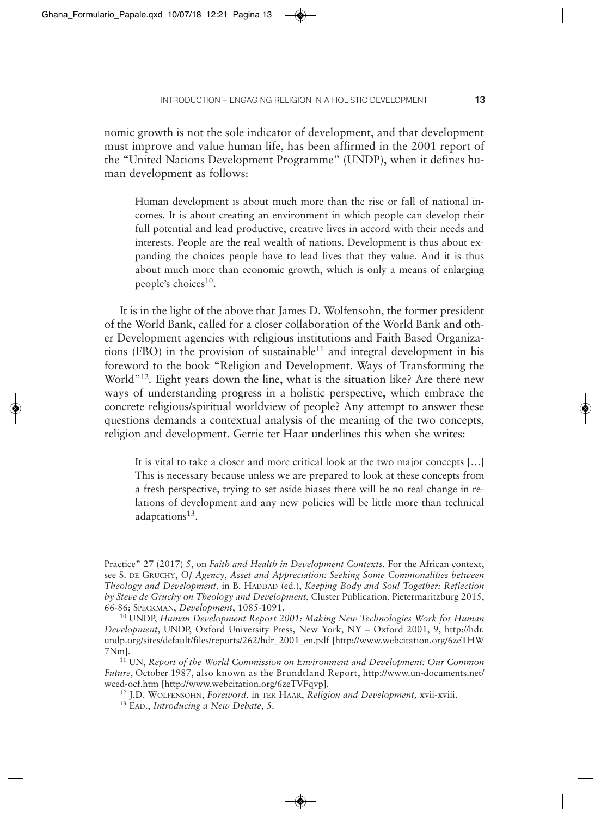nomic growth is not the sole indicator of development, and that development must improve and value human life, has been affirmed in the 2001 report of the "United Nations Development Programme" (UNDP), when it defines human development as follows:

Human development is about much more than the rise or fall of national incomes. It is about creating an environment in which people can develop their full potential and lead productive, creative lives in accord with their needs and interests. People are the real wealth of nations. Development is thus about expanding the choices people have to lead lives that they value. And it is thus about much more than economic growth, which is only a means of enlarging people's choices $10$ .

It is in the light of the above that James D. Wolfensohn, the former president of the World Bank, called for a closer collaboration of the World Bank and other Development agencies with religious institutions and Faith Based Organizations (FBO) in the provision of sustainable<sup>11</sup> and integral development in his foreword to the book "Religion and Development. Ways of Transforming the World<sup>"12</sup>. Eight years down the line, what is the situation like? Are there new ways of understanding progress in a holistic perspective, which embrace the concrete religious/spiritual worldview of people? Any attempt to answer these questions demands a contextual analysis of the meaning of the two concepts, religion and development. Gerrie ter Haar underlines this when she writes:

It is vital to take a closer and more critical look at the two major concepts […] This is necessary because unless we are prepared to look at these concepts from a fresh perspective, trying to set aside biases there will be no real change in relations of development and any new policies will be little more than technical adaptations<sup>13</sup>.

Practice" 27 (2017) 5, on *Faith and Health in Development Contexts.* For the African context, see S. DE GRUCHY, *Of Agency*, *Asset and Appreciation: Seeking Some Commonalities between Theology and Development*, in B. HADDAD (ed.), *Keeping Body and Soul Together: Reflection by Steve de Gruchy on Theology and Development*, Cluster Publication, Pietermaritzburg 2015,

<sup>&</sup>lt;sup>10</sup> UNDP, *Human Development Report 2001: Making New Technologies Work for Human Development*, UNDP, Oxford University Press, New York, NY – Oxford 2001, 9, http://hdr. undp.org/sites/default/files/reports/262/hdr\_2001\_en.pdf [http://www.webcitation.org/6zeTHW 7Nm].

<sup>11</sup> UN, *Report of the World Commission on Environment and Development: Our Common Future*, October 1987, also known as the Brundtland Report, http://www.un-documents.net/ wced-ocf.htm [http://www.webcitation.org/6zeTVFqvp].

<sup>12</sup> J.D. WOLFENSOHN, *Foreword*, in TER HAAR, *Religion and Development,* xvii-xviii. 13 EAD., *Introducing a New Debate*, 5.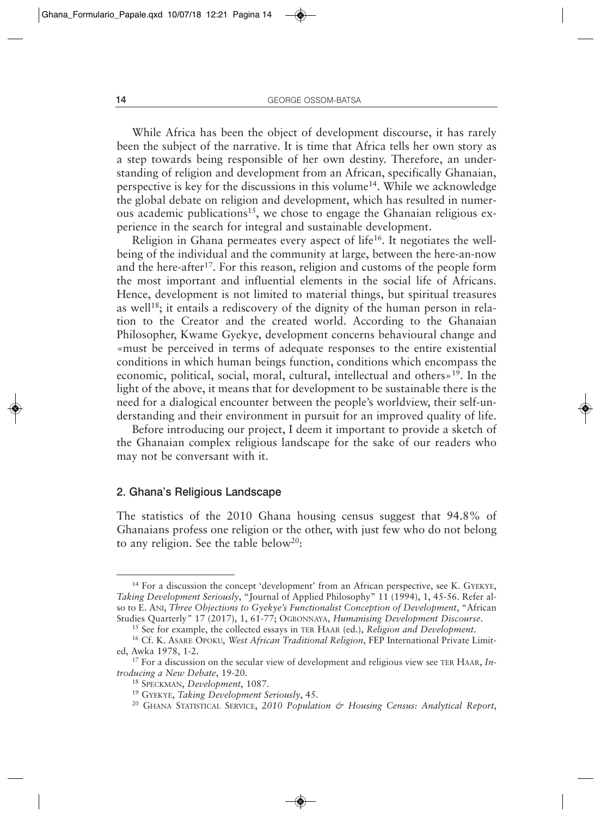While Africa has been the object of development discourse, it has rarely been the subject of the narrative. It is time that Africa tells her own story as a step towards being responsible of her own destiny. Therefore, an understanding of religion and development from an African, specifically Ghanaian, perspective is key for the discussions in this volume14. While we acknowledge the global debate on religion and development, which has resulted in numerous academic publications<sup>15</sup>, we chose to engage the Ghanaian religious experience in the search for integral and sustainable development.

Religion in Ghana permeates every aspect of life<sup>16</sup>. It negotiates the wellbeing of the individual and the community at large, between the here-an-now and the here-after<sup>17</sup>. For this reason, religion and customs of the people form the most important and influential elements in the social life of Africans. Hence, development is not limited to material things, but spiritual treasures as well<sup>18</sup>; it entails a rediscovery of the dignity of the human person in relation to the Creator and the created world. According to the Ghanaian Philosopher, Kwame Gyekye, development concerns behavioural change and «must be perceived in terms of adequate responses to the entire existential conditions in which human beings function, conditions which encompass the economic, political, social, moral, cultural, intellectual and others»19. In the light of the above, it means that for development to be sustainable there is the need for a dialogical encounter between the people's worldview, their self-understanding and their environment in pursuit for an improved quality of life.

Before introducing our project, I deem it important to provide a sketch of the Ghanaian complex religious landscape for the sake of our readers who may not be conversant with it.

## 2. Ghana's Religious Landscape

The statistics of the 2010 Ghana housing census suggest that 94.8% of Ghanaians profess one religion or the other, with just few who do not belong to any religion. See the table below<sup>20</sup>:

<sup>14</sup> For a discussion the concept 'development' from an African perspective, see K. GYEKYE, *Taking Development Seriously*, "Journal of Applied Philosophy" 11 (1994), 1, 45-56. Refer also to E. ANI, *Three Objections to Gyekye's Functionalist Conception of Development*, "African Studies Quarterly*"* 17 (2017), 1, 61-77; OGBONNAYA, *Humanising Development Discourse*.

<sup>15</sup> See for example, the collected essays in TER HAAR (ed.), *Religion and Development*. 16 Cf. K. ASARE OPOKU, *West African Traditional Religion*, FEP International Private Limit-

ed, Awka 1978, 1-2.

<sup>17</sup> For a discussion on the secular view of development and religious view see TER HAAR, *Introducing a New Debate*, 19-20.

<sup>18</sup> SPECKMAN, *Development*, 1087.

<sup>19</sup> GYEKYE, *Taking Development Seriously*, 45.

<sup>20</sup> GHANA STATISTICAL SERVICE, *2010 Population & Housing Census: Analytical Report*,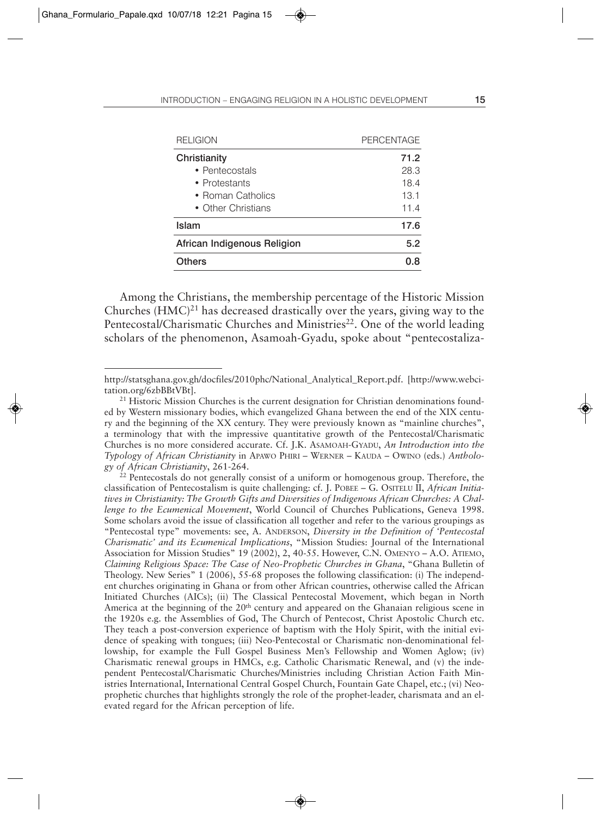| <b>RELIGION</b>             | <b>PERCENTAGE</b> |
|-----------------------------|-------------------|
| Christianity                | 71.2              |
| • Pentecostals              | 28.3              |
| • Protestants               | 18.4              |
| • Roman Catholics           | 13.1              |
| • Other Christians          | 11.4              |
| Islam                       | 17.6              |
| African Indigenous Religion | 5.2               |
| <b>Others</b>               | 0.8               |

Among the Christians, the membership percentage of the Historic Mission Churches  $(HMC)^{21}$  has decreased drastically over the years, giving way to the Pentecostal/Charismatic Churches and Ministries<sup>22</sup>. One of the world leading scholars of the phenomenon, Asamoah-Gyadu, spoke about "pentecostaliza-

http://statsghana.gov.gh/docfiles/2010phc/National\_Analytical\_Report.pdf. [http://www.webcitation.org/6zbBBtVBt].

<sup>&</sup>lt;sup>21</sup> Historic Mission Churches is the current designation for Christian denominations founded by Western missionary bodies, which evangelized Ghana between the end of the XIX century and the beginning of the XX century. They were previously known as "mainline churches", a terminology that with the impressive quantitative growth of the Pentecostal/Charismatic Churches is no more considered accurate. Cf. J.K. ASAMOAH-GYADU, *An Introduction into the Typology of African Christianity* in APAWO PHIRI – WERNER – KAUDA – OWINO (eds.) *Anthology of African Christianity*, 261-264.

<sup>&</sup>lt;sup>22</sup> Pentecostals do not generally consist of a uniform or homogenous group. Therefore, the classification of Pentecostalism is quite challenging: cf. J. POBEE – G. OSITELU II, *African Initiatives in Christianity: The Growth Gifts and Diversities of Indigenous African Churches: A Challenge to the Ecumenical Movement*, World Council of Churches Publications, Geneva 1998. Some scholars avoid the issue of classification all together and refer to the various groupings as "Pentecostal type" movements: see, A. ANDERSON, *Diversity in the Definition of 'Pentecostal Charismatic' and its Ecumenical Implications*, "Mission Studies: Journal of the International Association for Mission Studies" 19 (2002), 2, 40-55. However, C.N. OMENYO – A.O. ATIEMO, *Claiming Religious Space: The Case of Neo-Prophetic Churches in Ghana*, "Ghana Bulletin of Theology. New Series" 1 (2006), 55-68 proposes the following classification: (i) The independent churches originating in Ghana or from other African countries, otherwise called the African Initiated Churches (AICs); (ii) The Classical Pentecostal Movement, which began in North America at the beginning of the 20<sup>th</sup> century and appeared on the Ghanaian religious scene in the 1920s e.g. the Assemblies of God, The Church of Pentecost, Christ Apostolic Church etc. They teach a post-conversion experience of baptism with the Holy Spirit, with the initial evidence of speaking with tongues; (iii) Neo-Pentecostal or Charismatic non-denominational fellowship, for example the Full Gospel Business Men's Fellowship and Women Aglow; (iv) Charismatic renewal groups in HMCs, e.g. Catholic Charismatic Renewal, and (v) the independent Pentecostal/Charismatic Churches/Ministries including Christian Action Faith Ministries International, International Central Gospel Church, Fountain Gate Chapel, etc.; (vi) Neoprophetic churches that highlights strongly the role of the prophet-leader, charismata and an elevated regard for the African perception of life.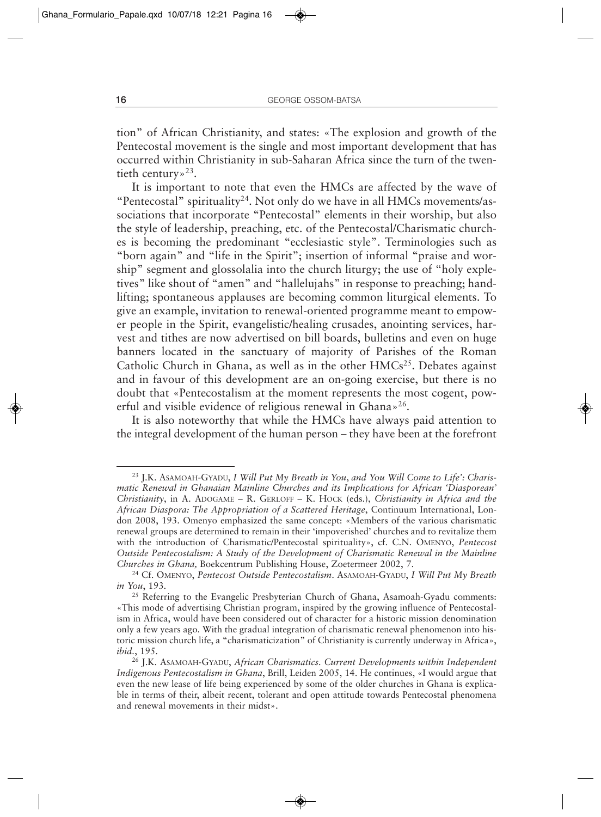tion" of African Christianity, and states: «The explosion and growth of the Pentecostal movement is the single and most important development that has occurred within Christianity in sub-Saharan Africa since the turn of the twentieth century»<sup>23</sup>.

It is important to note that even the HMCs are affected by the wave of "Pentecostal" spirituality<sup>24</sup>. Not only do we have in all HMCs movements/associations that incorporate "Pentecostal" elements in their worship, but also the style of leadership, preaching, etc. of the Pentecostal/Charismatic churches is becoming the predominant "ecclesiastic style". Terminologies such as "born again" and "life in the Spirit"; insertion of informal "praise and worship" segment and glossolalia into the church liturgy; the use of "holy expletives" like shout of "amen" and "hallelujahs" in response to preaching; handlifting; spontaneous applauses are becoming common liturgical elements. To give an example, invitation to renewal-oriented programme meant to empower people in the Spirit, evangelistic/healing crusades, anointing services, harvest and tithes are now advertised on bill boards, bulletins and even on huge banners located in the sanctuary of majority of Parishes of the Roman Catholic Church in Ghana, as well as in the other  $HMCs^{25}$ . Debates against and in favour of this development are an on-going exercise, but there is no doubt that «Pentecostalism at the moment represents the most cogent, powerful and visible evidence of religious renewal in Ghana»26.

It is also noteworthy that while the HMCs have always paid attention to the integral development of the human person – they have been at the forefront

<sup>23</sup> J.K. ASAMOAH-GYADU, *I Will Put My Breath in You*, *and You Will Come to Life': Charismatic Renewal in Ghanaian Mainline Churches and its Implications for African 'Diasporean' Christianity*, in A. ADOGAME – R. GERLOFF – K. HOCK (eds.), *Christianity in Africa and the African Diaspora: The Appropriation of a Scattered Heritage*, Continuum International, London 2008, 193. Omenyo emphasized the same concept: «Members of the various charismatic renewal groups are determined to remain in their 'impoverished' churches and to revitalize them with the introduction of Charismatic/Pentecostal spirituality», cf. C.N. OMENYO, *Pentecost Outside Pentecostalism: A Study of the Development of Charismatic Renewal in the Mainline Churches in Ghana,* Boekcentrum Publishing House, Zoetermeer 2002, 7.

<sup>24</sup> Cf. OMENYO, *Pentecost Outside Pentecostalism*. ASAMOAH-GYADU, *I Will Put My Breath in You*, 193.<br><sup>25</sup> Referring to the Evangelic Presbyterian Church of Ghana, Asamoah-Gyadu comments:

<sup>«</sup>This mode of advertising Christian program, inspired by the growing influence of Pentecostalism in Africa, would have been considered out of character for a historic mission denomination only a few years ago. With the gradual integration of charismatic renewal phenomenon into historic mission church life, a "charismaticization" of Christianity is currently underway in Africa», *ibid.*, 195.

<sup>26</sup> J.K. ASAMOAH-GYADU, *African Charismatics. Current Developments within Independent Indigenous Pentecostalism in Ghana*, Brill, Leiden 2005, 14. He continues, «I would argue that even the new lease of life being experienced by some of the older churches in Ghana is explicable in terms of their, albeit recent, tolerant and open attitude towards Pentecostal phenomena and renewal movements in their midst».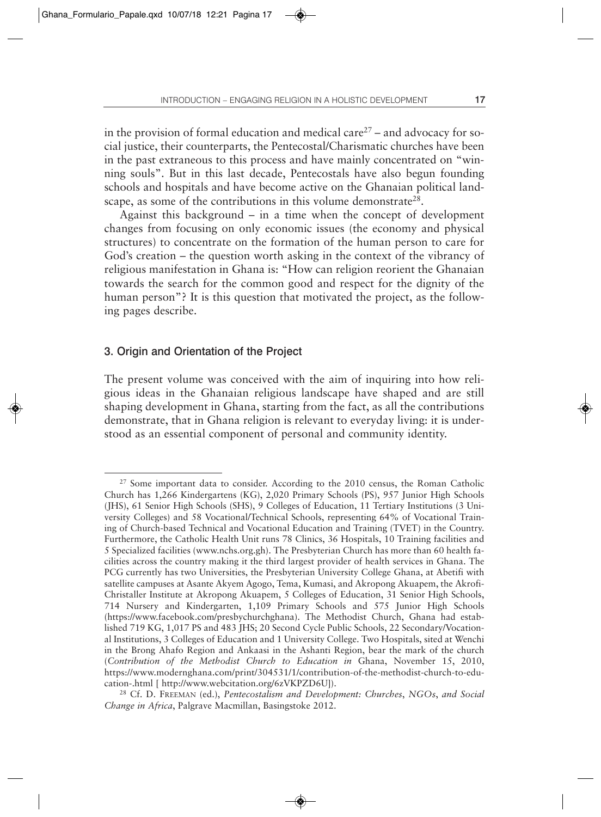in the provision of formal education and medical care<sup>27</sup> – and advocacy for social justice, their counterparts, the Pentecostal/Charismatic churches have been in the past extraneous to this process and have mainly concentrated on "winning souls". But in this last decade, Pentecostals have also begun founding schools and hospitals and have become active on the Ghanaian political landscape, as some of the contributions in this volume demonstrate<sup>28</sup>.

Against this background – in a time when the concept of development changes from focusing on only economic issues (the economy and physical structures) to concentrate on the formation of the human person to care for God's creation – the question worth asking in the context of the vibrancy of religious manifestation in Ghana is: "How can religion reorient the Ghanaian towards the search for the common good and respect for the dignity of the human person"? It is this question that motivated the project, as the following pages describe.

### 3. Origin and Orientation of the Project

The present volume was conceived with the aim of inquiring into how religious ideas in the Ghanaian religious landscape have shaped and are still shaping development in Ghana, starting from the fact, as all the contributions demonstrate, that in Ghana religion is relevant to everyday living: it is understood as an essential component of personal and community identity.

<sup>&</sup>lt;sup>27</sup> Some important data to consider. According to the 2010 census, the Roman Catholic Church has 1,266 Kindergartens (KG), 2,020 Primary Schools (PS), 957 Junior High Schools (JHS), 61 Senior High Schools (SHS), 9 Colleges of Education, 11 Tertiary Institutions (3 University Colleges) and 58 Vocational/Technical Schools, representing 64% of Vocational Training of Church-based Technical and Vocational Education and Training (TVET) in the Country. Furthermore, the Catholic Health Unit runs 78 Clinics, 36 Hospitals, 10 Training facilities and 5 Specialized facilities (www.nchs.org.gh). The Presbyterian Church has more than 60 health facilities across the country making it the third largest provider of health services in Ghana. The PCG currently has two Universities, the Presbyterian University College Ghana, at Abetifi with satellite campuses at Asante Akyem Agogo, Tema, Kumasi, and Akropong Akuapem, the Akrofi-Christaller Institute at Akropong Akuapem, 5 Colleges of Education, 31 Senior High Schools, 714 Nursery and Kindergarten, 1,109 Primary Schools and 575 Junior High Schools (https://www.facebook.com/presbychurchghana). The Methodist Church, Ghana had established 719 KG, 1,017 PS and 483 JHS; 20 Second Cycle Public Schools, 22 Secondary/Vocational Institutions, 3 Colleges of Education and 1 University College. Two Hospitals, sited at Wenchi in the Brong Ahafo Region and Ankaasi in the Ashanti Region, bear the mark of the church (*Contribution of the Methodist Church to Education in* Ghana, November 15, 2010, https://www.modernghana.com/print/304531/1/contribution-of-the-methodist-church-to-education-.html [ http://www.webcitation.org/6zVKPZD6U]).

<sup>28</sup> Cf. D. FREEMAN (ed.), *Pentecostalism and Development: Churches*, *NGOs*, *and Social Change in Africa*, Palgrave Macmillan, Basingstoke 2012.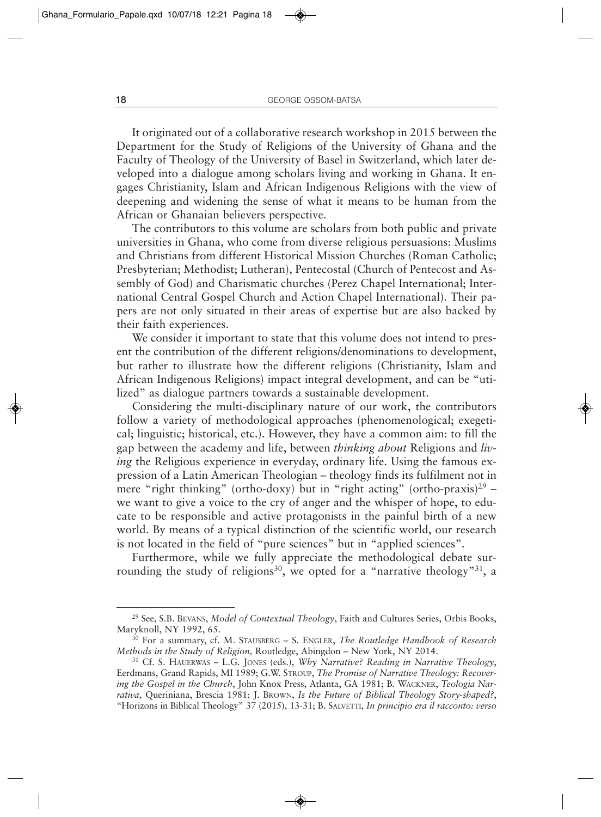It originated out of a collaborative research workshop in 2015 between the Department for the Study of Religions of the University of Ghana and the Faculty of Theology of the University of Basel in Switzerland, which later developed into a dialogue among scholars living and working in Ghana. It engages Christianity, Islam and African Indigenous Religions with the view of deepening and widening the sense of what it means to be human from the African or Ghanaian believers perspective.

The contributors to this volume are scholars from both public and private universities in Ghana, who come from diverse religious persuasions: Muslims and Christians from different Historical Mission Churches (Roman Catholic; Presbyterian; Methodist; Lutheran), Pentecostal (Church of Pentecost and Assembly of God) and Charismatic churches (Perez Chapel International; International Central Gospel Church and Action Chapel International). Their papers are not only situated in their areas of expertise but are also backed by their faith experiences.

We consider it important to state that this volume does not intend to present the contribution of the different religions/denominations to development, but rather to illustrate how the different religions (Christianity, Islam and African Indigenous Religions) impact integral development, and can be "utilized" as dialogue partners towards a sustainable development.

Considering the multi-disciplinary nature of our work, the contributors follow a variety of methodological approaches (phenomenological; exegetical; linguistic; historical, etc.). However, they have a common aim: to fill the gap between the academy and life, between *thinking about* Religions and *living* the Religious experience in everyday, ordinary life. Using the famous expression of a Latin American Theologian – theology finds its fulfilment not in mere "right thinking" (ortho-doxy) but in "right acting" (ortho-praxis)<sup>29</sup> – we want to give a voice to the cry of anger and the whisper of hope, to educate to be responsible and active protagonists in the painful birth of a new world. By means of a typical distinction of the scientific world, our research is not located in the field of "pure sciences" but in "applied sciences".

Furthermore, while we fully appreciate the methodological debate surrounding the study of religions<sup>30</sup>, we opted for a "narrative theology"<sup>31</sup>, a

<sup>29</sup> See, S.B. BEVANS, *Model of Contextual Theology*, Faith and Cultures Series, Orbis Books, Maryknoll, NY 1992, 65.

<sup>30</sup> For a summary, cf. M. STAUSBERG – S. ENGLER, *The Routledge Handbook of Research Methods in the Study of Religion,* Routledge, Abingdon – New York, NY 2014.

<sup>31</sup> Cf. S. HAUERWAS – L.G. JONES (eds.), *Why Narrative? Reading in Narrative Theology*, Eerdmans, Grand Rapids, MI 1989; G.W. STROUP, *The Promise of Narrative Theology: Recovering the Gospel in the Church*, John Knox Press, Atlanta, GA 1981; B. WACKNER, *Teologia Narrativa*, Queriniana, Brescia 1981; J. BROWN, *Is the Future of Biblical Theology Story-shaped?*, "Horizons in Biblical Theology" 37 (2015), 13-31; B. SALVETTI, *In principio era il racconto: verso*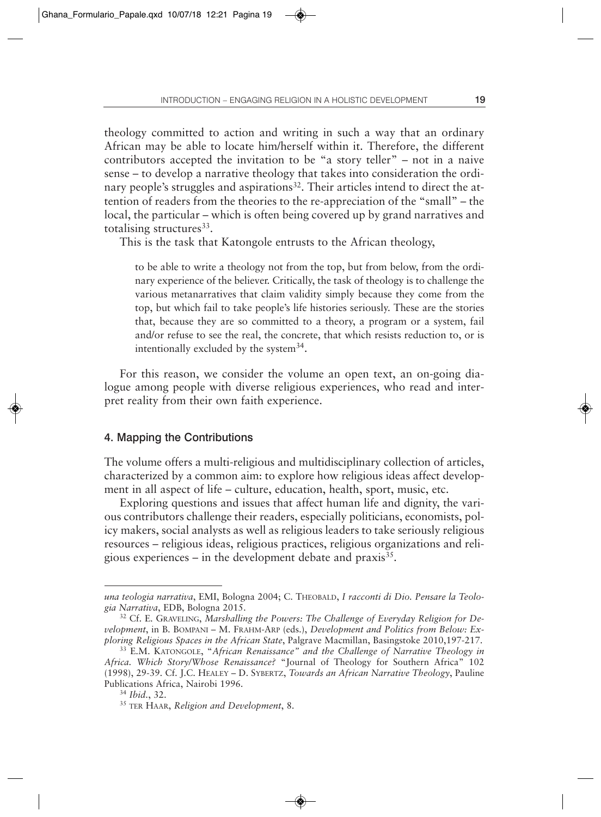theology committed to action and writing in such a way that an ordinary African may be able to locate him/herself within it. Therefore, the different contributors accepted the invitation to be "a story teller" – not in a naive sense – to develop a narrative theology that takes into consideration the ordinary people's struggles and aspirations<sup>32</sup>. Their articles intend to direct the attention of readers from the theories to the re-appreciation of the "small" – the local, the particular – which is often being covered up by grand narratives and totalising structures<sup>33</sup>.

This is the task that Katongole entrusts to the African theology,

to be able to write a theology not from the top, but from below, from the ordinary experience of the believer. Critically, the task of theology is to challenge the various metanarratives that claim validity simply because they come from the top, but which fail to take people's life histories seriously. These are the stories that, because they are so committed to a theory, a program or a system, fail and/or refuse to see the real, the concrete, that which resists reduction to, or is intentionally excluded by the system $34$ .

For this reason, we consider the volume an open text, an on-going dialogue among people with diverse religious experiences, who read and interpret reality from their own faith experience.

### 4. Mapping the Contributions

The volume offers a multi-religious and multidisciplinary collection of articles, characterized by a common aim: to explore how religious ideas affect development in all aspect of life – culture, education, health, sport, music, etc.

Exploring questions and issues that affect human life and dignity, the various contributors challenge their readers, especially politicians, economists, policy makers, social analysts as well as religious leaders to take seriously religious resources – religious ideas, religious practices, religious organizations and religious experiences – in the development debate and praxis $35$ .

una teologia narrativa, EMI, Bologna 2004; C. THEOBALD, *I racconti di Dio. Pensare la Teolo*gia Narrativa, EDB, Bologna 2015.<br><sup>32</sup> Cf. E. GRAVELING, *Marshalling the Powers: The Challenge of Everyday Religion for De-*

*velopment*, in B. BOMPANI – M. FRAHM-ARP (eds.), *Development and Politics from Below: Exploring Religious Spaces in the African State*, Palgrave Macmillan, Basingstoke 2010,197-217.

<sup>33</sup> E.M. KATONGOLE, "*African Renaissance" and the Challenge of Narrative Theology in Africa. Which Story/Whose Renaissance?* "Journal of Theology for Southern Africa" 102 (1998), 29-39. Cf. J.C. HEALEY – D. SYBERTZ, *Towards an African Narrative Theology*, Pauline Publications Africa, Nairobi 1996.

<sup>34</sup> *Ibid.*, 32.

<sup>35</sup> TER HAAR, *Religion and Development*, 8.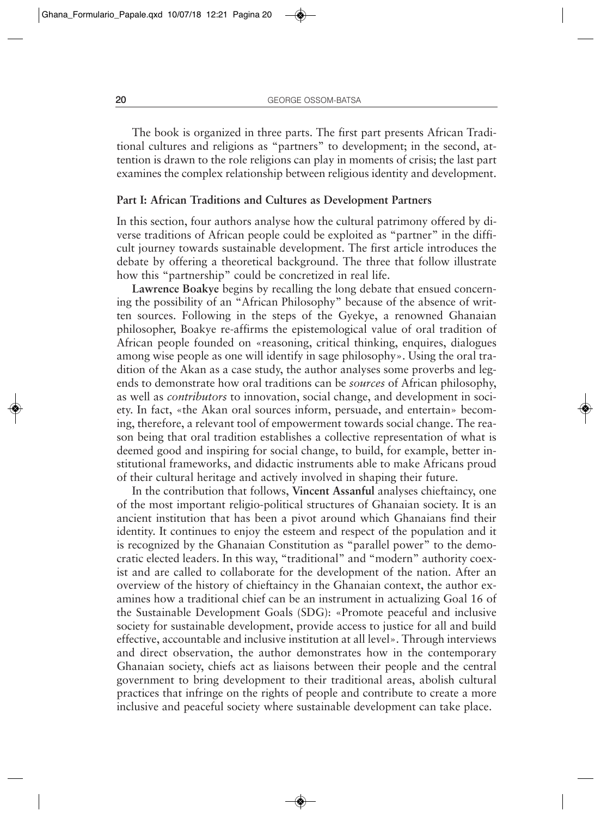The book is organized in three parts. The first part presents African Traditional cultures and religions as "partners" to development; in the second, attention is drawn to the role religions can play in moments of crisis; the last part examines the complex relationship between religious identity and development.

#### **Part I: African Traditions and Cultures as Development Partners**

In this section, four authors analyse how the cultural patrimony offered by diverse traditions of African people could be exploited as "partner" in the difficult journey towards sustainable development. The first article introduces the debate by offering a theoretical background. The three that follow illustrate how this "partnership" could be concretized in real life.

**Lawrence Boakye** begins by recalling the long debate that ensued concerning the possibility of an "African Philosophy" because of the absence of written sources. Following in the steps of the Gyekye, a renowned Ghanaian philosopher, Boakye re-affirms the epistemological value of oral tradition of African people founded on «reasoning, critical thinking, enquires, dialogues among wise people as one will identify in sage philosophy». Using the oral tradition of the Akan as a case study, the author analyses some proverbs and legends to demonstrate how oral traditions can be *sources* of African philosophy, as well as *contributors* to innovation, social change, and development in society. In fact, «the Akan oral sources inform, persuade, and entertain» becoming, therefore, a relevant tool of empowerment towards social change. The reason being that oral tradition establishes a collective representation of what is deemed good and inspiring for social change, to build, for example, better institutional frameworks, and didactic instruments able to make Africans proud of their cultural heritage and actively involved in shaping their future.

In the contribution that follows, **Vincent Assanful** analyses chieftaincy, one of the most important religio-political structures of Ghanaian society. It is an ancient institution that has been a pivot around which Ghanaians find their identity. It continues to enjoy the esteem and respect of the population and it is recognized by the Ghanaian Constitution as "parallel power" to the democratic elected leaders. In this way, "traditional" and "modern" authority coexist and are called to collaborate for the development of the nation. After an overview of the history of chieftaincy in the Ghanaian context, the author examines how a traditional chief can be an instrument in actualizing Goal 16 of the Sustainable Development Goals (SDG): «Promote peaceful and inclusive society for sustainable development, provide access to justice for all and build effective, accountable and inclusive institution at all level». Through interviews and direct observation, the author demonstrates how in the contemporary Ghanaian society, chiefs act as liaisons between their people and the central government to bring development to their traditional areas, abolish cultural practices that infringe on the rights of people and contribute to create a more inclusive and peaceful society where sustainable development can take place.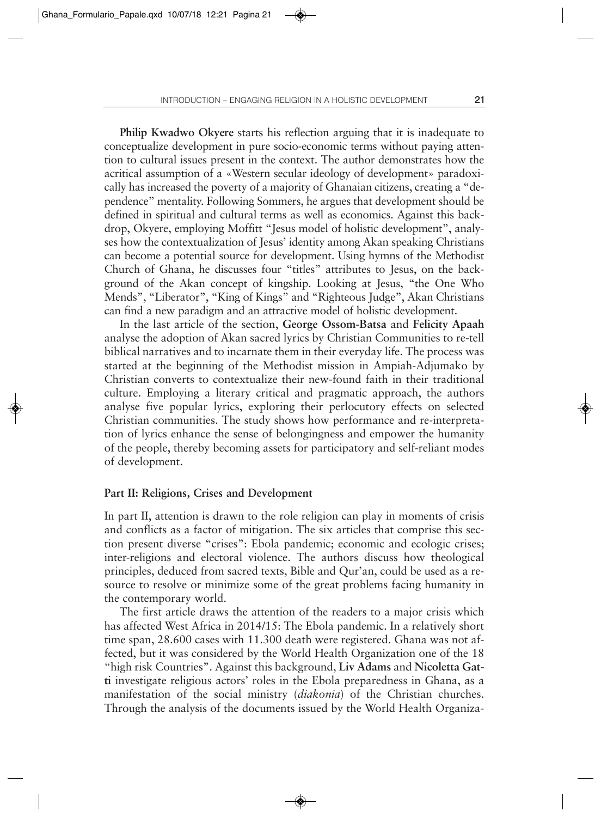**Philip Kwadwo Okyere** starts his reflection arguing that it is inadequate to conceptualize development in pure socio-economic terms without paying attention to cultural issues present in the context. The author demonstrates how the acritical assumption of a «Western secular ideology of development» paradoxically has increased the poverty of a majority of Ghanaian citizens, creating a "dependence" mentality. Following Sommers, he argues that development should be defined in spiritual and cultural terms as well as economics. Against this backdrop, Okyere, employing Moffitt "Jesus model of holistic development", analyses how the contextualization of Jesus' identity among Akan speaking Christians can become a potential source for development. Using hymns of the Methodist Church of Ghana, he discusses four "titles" attributes to Jesus, on the background of the Akan concept of kingship. Looking at Jesus, "the One Who Mends", "Liberator", "King of Kings" and "Righteous Judge", Akan Christians can find a new paradigm and an attractive model of holistic development.

In the last article of the section, **George Ossom-Batsa** and **Felicity Apaah** analyse the adoption of Akan sacred lyrics by Christian Communities to re-tell biblical narratives and to incarnate them in their everyday life. The process was started at the beginning of the Methodist mission in Ampiah-Adjumako by Christian converts to contextualize their new-found faith in their traditional culture. Employing a literary critical and pragmatic approach, the authors analyse five popular lyrics, exploring their perlocutory effects on selected Christian communities. The study shows how performance and re-interpretation of lyrics enhance the sense of belongingness and empower the humanity of the people, thereby becoming assets for participatory and self-reliant modes of development.

#### **Part II: Religions, Crises and Development**

In part II, attention is drawn to the role religion can play in moments of crisis and conflicts as a factor of mitigation. The six articles that comprise this section present diverse "crises": Ebola pandemic; economic and ecologic crises; inter-religions and electoral violence. The authors discuss how theological principles, deduced from sacred texts, Bible and Qur'an, could be used as a resource to resolve or minimize some of the great problems facing humanity in the contemporary world.

The first article draws the attention of the readers to a major crisis which has affected West Africa in 2014/15: The Ebola pandemic. In a relatively short time span, 28.600 cases with 11.300 death were registered. Ghana was not affected, but it was considered by the World Health Organization one of the 18 "high risk Countries". Against this background, **Liv Adams** and **Nicoletta Gatti** investigate religious actors' roles in the Ebola preparedness in Ghana, as a manifestation of the social ministry (*diakonia*) of the Christian churches. Through the analysis of the documents issued by the World Health Organiza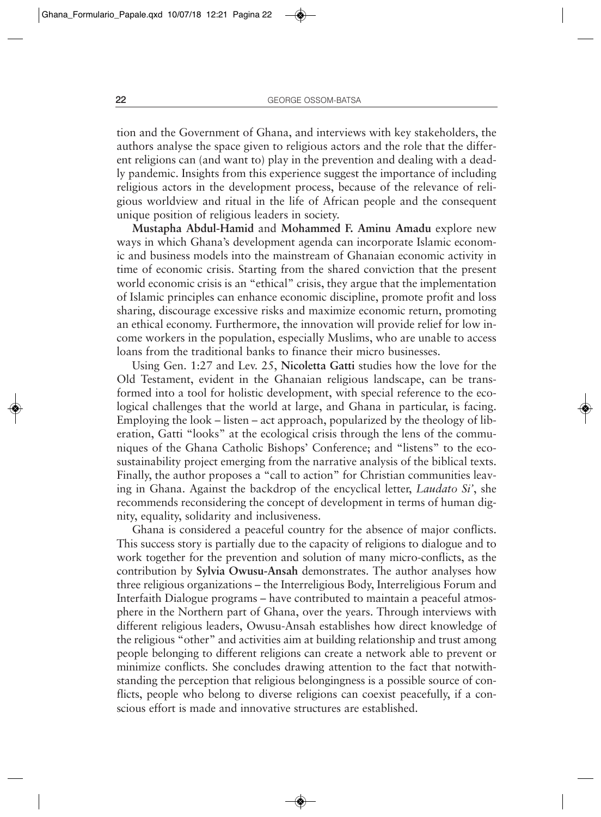tion and the Government of Ghana, and interviews with key stakeholders, the authors analyse the space given to religious actors and the role that the different religions can (and want to) play in the prevention and dealing with a deadly pandemic. Insights from this experience suggest the importance of including religious actors in the development process, because of the relevance of religious worldview and ritual in the life of African people and the consequent unique position of religious leaders in society.

**Mustapha Abdul-Hamid** and **Mohammed F. Aminu Amadu** explore new ways in which Ghana's development agenda can incorporate Islamic economic and business models into the mainstream of Ghanaian economic activity in time of economic crisis. Starting from the shared conviction that the present world economic crisis is an "ethical" crisis, they argue that the implementation of Islamic principles can enhance economic discipline, promote profit and loss sharing, discourage excessive risks and maximize economic return, promoting an ethical economy. Furthermore, the innovation will provide relief for low income workers in the population, especially Muslims, who are unable to access loans from the traditional banks to finance their micro businesses.

Using Gen. 1:27 and Lev. 25, **Nicoletta Gatti** studies how the love for the Old Testament, evident in the Ghanaian religious landscape, can be transformed into a tool for holistic development, with special reference to the ecological challenges that the world at large, and Ghana in particular, is facing. Employing the look – listen – act approach, popularized by the theology of liberation, Gatti "looks" at the ecological crisis through the lens of the communiques of the Ghana Catholic Bishops' Conference; and "listens" to the ecosustainability project emerging from the narrative analysis of the biblical texts. Finally, the author proposes a "call to action" for Christian communities leaving in Ghana. Against the backdrop of the encyclical letter, *Laudato Si'*, she recommends reconsidering the concept of development in terms of human dignity, equality, solidarity and inclusiveness.

Ghana is considered a peaceful country for the absence of major conflicts. This success story is partially due to the capacity of religions to dialogue and to work together for the prevention and solution of many micro-conflicts, as the contribution by **Sylvia Owusu-Ansah** demonstrates. The author analyses how three religious organizations – the Interreligious Body, Interreligious Forum and Interfaith Dialogue programs – have contributed to maintain a peaceful atmosphere in the Northern part of Ghana, over the years. Through interviews with different religious leaders, Owusu-Ansah establishes how direct knowledge of the religious "other" and activities aim at building relationship and trust among people belonging to different religions can create a network able to prevent or minimize conflicts. She concludes drawing attention to the fact that notwithstanding the perception that religious belongingness is a possible source of conflicts, people who belong to diverse religions can coexist peacefully, if a conscious effort is made and innovative structures are established.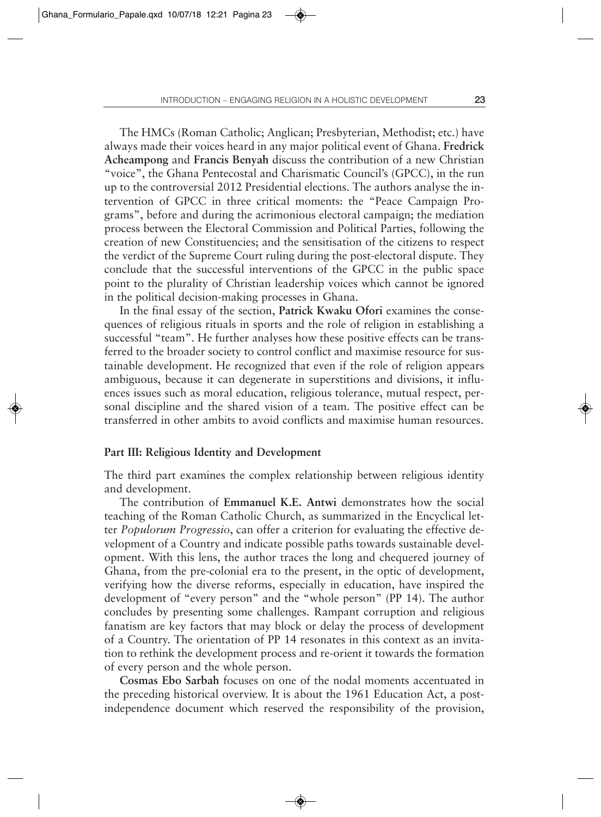The HMCs (Roman Catholic; Anglican; Presbyterian, Methodist; etc.) have always made their voices heard in any major political event of Ghana. **Fredrick Acheampong** and **Francis Benyah** discuss the contribution of a new Christian "voice", the Ghana Pentecostal and Charismatic Council's (GPCC), in the run up to the controversial 2012 Presidential elections. The authors analyse the intervention of GPCC in three critical moments: the "Peace Campaign Programs", before and during the acrimonious electoral campaign; the mediation process between the Electoral Commission and Political Parties, following the creation of new Constituencies; and the sensitisation of the citizens to respect the verdict of the Supreme Court ruling during the post-electoral dispute. They conclude that the successful interventions of the GPCC in the public space point to the plurality of Christian leadership voices which cannot be ignored in the political decision-making processes in Ghana.

In the final essay of the section, **Patrick Kwaku Ofori** examines the consequences of religious rituals in sports and the role of religion in establishing a successful "team". He further analyses how these positive effects can be transferred to the broader society to control conflict and maximise resource for sustainable development. He recognized that even if the role of religion appears ambiguous, because it can degenerate in superstitions and divisions, it influences issues such as moral education, religious tolerance, mutual respect, personal discipline and the shared vision of a team. The positive effect can be transferred in other ambits to avoid conflicts and maximise human resources.

#### **Part III: Religious Identity and Development**

The third part examines the complex relationship between religious identity and development.

The contribution of **Emmanuel K.E. Antwi** demonstrates how the social teaching of the Roman Catholic Church, as summarized in the Encyclical letter *Populorum Progressio*, can offer a criterion for evaluating the effective development of a Country and indicate possible paths towards sustainable development. With this lens, the author traces the long and chequered journey of Ghana, from the pre-colonial era to the present, in the optic of development, verifying how the diverse reforms, especially in education, have inspired the development of "every person" and the "whole person" (PP 14). The author concludes by presenting some challenges. Rampant corruption and religious fanatism are key factors that may block or delay the process of development of a Country. The orientation of PP 14 resonates in this context as an invitation to rethink the development process and re-orient it towards the formation of every person and the whole person.

**Cosmas Ebo Sarbah** focuses on one of the nodal moments accentuated in the preceding historical overview. It is about the 1961 Education Act, a postindependence document which reserved the responsibility of the provision,